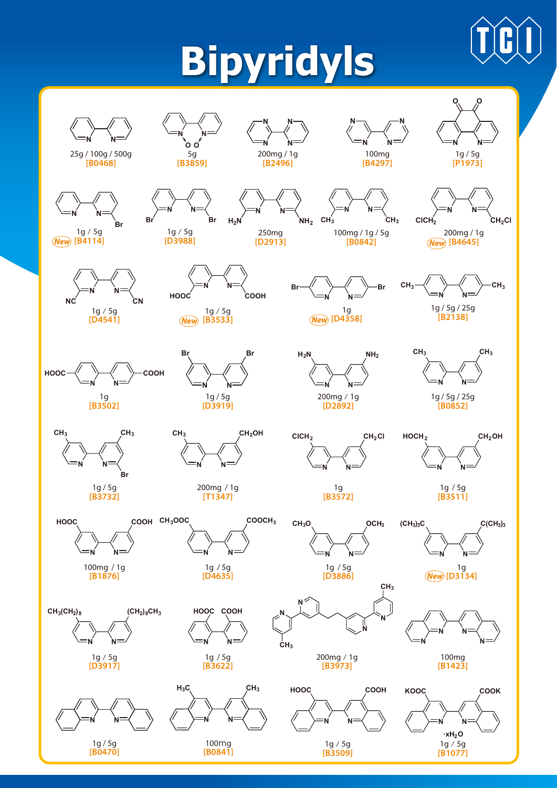## **Bipyridyls**